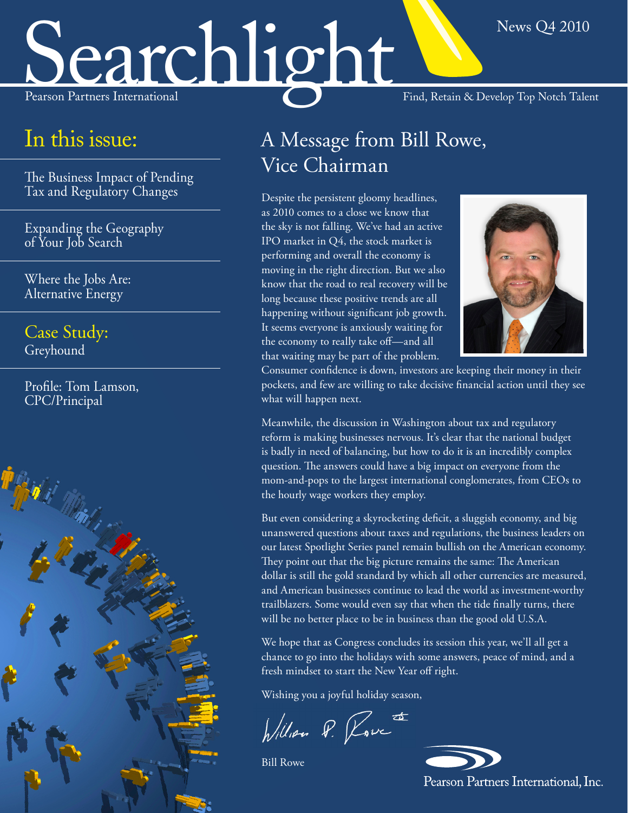# Searchlight Find, Retain & Develop Top Notch Talent

### In this issue:

The Business Impact of Pending Tax and Regulatory Changes

Expanding the Geography of Your Job Search

Where the Jobs Are: Alternative Energy

Case Study: Greyhound

Profile: Tom Lamson, CPC/Principal



### A Message from Bill Rowe, Vice Chairman

Despite the persistent gloomy headlines, as 2010 comes to a close we know that the sky is not falling. We've had an active IPO market in Q4, the stock market is performing and overall the economy is moving in the right direction. But we also know that the road to real recovery will be long because these positive trends are all happening without significant job growth. It seems everyone is anxiously waiting for the economy to really take off—and all that waiting may be part of the problem.



News Q4 2010

Consumer confidence is down, investors are keeping their money in their pockets, and few are willing to take decisive financial action until they see what will happen next.

Meanwhile, the discussion in Washington about tax and regulatory reform is making businesses nervous. It's clear that the national budget is badly in need of balancing, but how to do it is an incredibly complex question. The answers could have a big impact on everyone from the mom-and-pops to the largest international conglomerates, from CEOs to the hourly wage workers they employ.

But even considering a skyrocketing deficit, a sluggish economy, and big unanswered questions about taxes and regulations, the business leaders on our latest Spotlight Series panel remain bullish on the American economy. They point out that the big picture remains the same: The American dollar is still the gold standard by which all other currencies are measured, and American businesses continue to lead the world as investment-worthy trailblazers. Some would even say that when the tide finally turns, there will be no better place to be in business than the good old U.S.A.

We hope that as Congress concludes its session this year, we'll all get a chance to go into the holidays with some answers, peace of mind, and a fresh mindset to start the New Year off right.

Wishing you a joyful holiday season,

William P. Rove

Bill Rowe

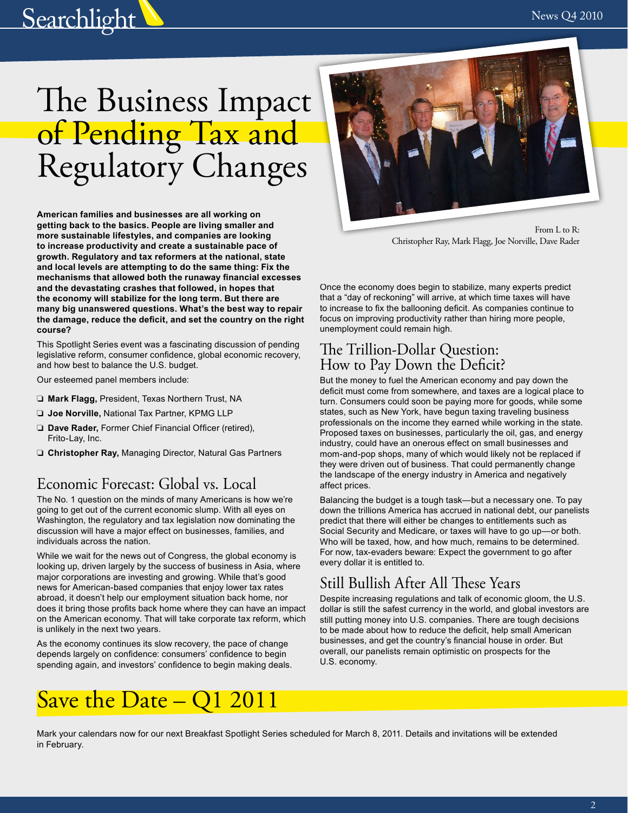# **Searchlight**

# The Business Impact of Pending Tax and Regulatory Changes

**American families and businesses are all working on getting back to the basics. People are living smaller and more sustainable lifestyles, and companies are looking to increase productivity and create a sustainable pace of growth. Regulatory and tax reformers at the national, state and local levels are attempting to do the same thing: Fix the mechanisms that allowed both the runaway financial excesses and the devastating crashes that followed, in hopes that the economy will stabilize for the long term. But there are many big unanswered questions. What's the best way to repair the damage, reduce the deficit, and set the country on the right course?**

This Spotlight Series event was a fascinating discussion of pending legislative reform, consumer confidence, global economic recovery, and how best to balance the U.S. budget.

Our esteemed panel members include:

- ❏ **Mark Flagg,** President, Texas Northern Trust, NA
- ❏ **Joe Norville,** National Tax Partner, KPMG LLP
- ❏ **Dave Rader,** Former Chief Financial Officer (retired), Frito-Lay, Inc.
- ❏ **Christopher Ray,** Managing Director, Natural Gas Partners

### Economic Forecast: Global vs. Local

The No. 1 question on the minds of many Americans is how we're going to get out of the current economic slump. With all eyes on Washington, the regulatory and tax legislation now dominating the discussion will have a major effect on businesses, families, and individuals across the nation.

While we wait for the news out of Congress, the global economy is looking up, driven largely by the success of business in Asia, where major corporations are investing and growing. While that's good news for American-based companies that enjoy lower tax rates abroad, it doesn't help our employment situation back home, nor does it bring those profits back home where they can have an impact on the American economy. That will take corporate tax reform, which is unlikely in the next two years.

As the economy continues its slow recovery, the pace of change depends largely on confidence: consumers' confidence to begin spending again, and investors' confidence to begin making deals.



From L to R: Christopher Ray, Mark Flagg, Joe Norville, Dave Rader

Once the economy does begin to stabilize, many experts predict that a "day of reckoning" will arrive, at which time taxes will have to increase to fix the ballooning deficit. As companies continue to focus on improving productivity rather than hiring more people, unemployment could remain high.

### The Trillion-Dollar Question: How to Pay Down the Deficit?

But the money to fuel the American economy and pay down the deficit must come from somewhere, and taxes are a logical place to turn. Consumers could soon be paying more for goods, while some states, such as New York, have begun taxing traveling business professionals on the income they earned while working in the state. Proposed taxes on businesses, particularly the oil, gas, and energy industry, could have an onerous effect on small businesses and mom-and-pop shops, many of which would likely not be replaced if they were driven out of business. That could permanently change the landscape of the energy industry in America and negatively affect prices.

Balancing the budget is a tough task—but a necessary one. To pay down the trillions America has accrued in national debt, our panelists predict that there will either be changes to entitlements such as Social Security and Medicare, or taxes will have to go up—or both. Who will be taxed, how, and how much, remains to be determined. For now, tax-evaders beware: Expect the government to go after every dollar it is entitled to.

### Still Bullish After All These Years

Despite increasing regulations and talk of economic gloom, the U.S. dollar is still the safest currency in the world, and global investors are still putting money into U.S. companies. There are tough decisions to be made about how to reduce the deficit, help small American businesses, and get the country's financial house in order. But overall, our panelists remain optimistic on prospects for the U.S. economy.

## Save the Date – Q1 2011

Mark your calendars now for our next Breakfast Spotlight Series scheduled for March 8, 2011. Details and invitations will be extended in February.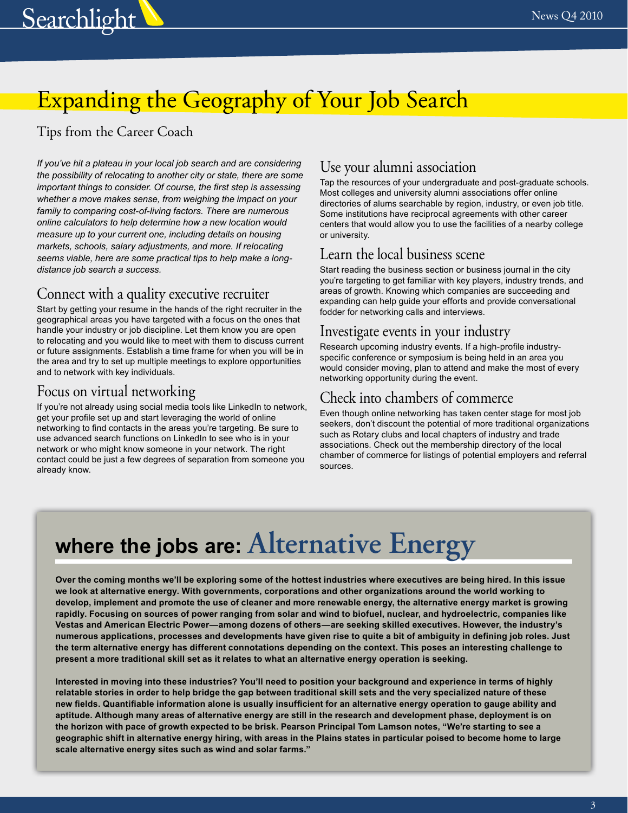

# Expanding the Geography of Your Job Search

### Tips from the Career Coach

*If you've hit a plateau in your local job search and are considering the possibility of relocating to another city or state, there are some important things to consider. Of course, the first step is assessing whether a move makes sense, from weighing the impact on your family to comparing cost-of-living factors. There are numerous online calculators to help determine how a new location would measure up to your current one, including details on housing markets, schools, salary adjustments, and more. If relocating seems viable, here are some practical tips to help make a longdistance job search a success.* 

### Connect with a quality executive recruiter

Start by getting your resume in the hands of the right recruiter in the geographical areas you have targeted with a focus on the ones that handle your industry or job discipline. Let them know you are open to relocating and you would like to meet with them to discuss current or future assignments. Establish a time frame for when you will be in the area and try to set up multiple meetings to explore opportunities and to network with key individuals.

### Focus on virtual networking

If you're not already using social media tools like LinkedIn to network, get your profile set up and start leveraging the world of online networking to find contacts in the areas you're targeting. Be sure to use advanced search functions on LinkedIn to see who is in your network or who might know someone in your network. The right contact could be just a few degrees of separation from someone you already know.

### Use your alumni association

Tap the resources of your undergraduate and post-graduate schools. Most colleges and university alumni associations offer online directories of alums searchable by region, industry, or even job title. Some institutions have reciprocal agreements with other career centers that would allow you to use the facilities of a nearby college or university.

### Learn the local business scene

Start reading the business section or business journal in the city you're targeting to get familiar with key players, industry trends, and areas of growth. Knowing which companies are succeeding and expanding can help guide your efforts and provide conversational fodder for networking calls and interviews.

### Investigate events in your industry

Research upcoming industry events. If a high-profile industryspecific conference or symposium is being held in an area you would consider moving, plan to attend and make the most of every networking opportunity during the event.

### Check into chambers of commerce

Even though online networking has taken center stage for most job seekers, don't discount the potential of more traditional organizations such as Rotary clubs and local chapters of industry and trade associations. Check out the membership directory of the local chamber of commerce for listings of potential employers and referral sources.

# **where the jobs are: Alternative Energy**

**Over the coming months we'll be exploring some of the hottest industries where executives are being hired. In this issue we look at alternative energy. With governments, corporations and other organizations around the world working to develop, implement and promote the use of cleaner and more renewable energy, the alternative energy market is growing rapidly. Focusing on sources of power ranging from solar and wind to biofuel, nuclear, and hydroelectric, companies like Vestas and American Electric Power—among dozens of others—are seeking skilled executives. However, the industry's numerous applications, processes and developments have given rise to quite a bit of ambiguity in defining job roles. Just the term alternative energy has different connotations depending on the context. This poses an interesting challenge to present a more traditional skill set as it relates to what an alternative energy operation is seeking.** 

**Interested in moving into these industries? You'll need to position your background and experience in terms of highly relatable stories in order to help bridge the gap between traditional skill sets and the very specialized nature of these new fields. Quantifiable information alone is usually insufficient for an alternative energy operation to gauge ability and aptitude. Although many areas of alternative energy are still in the research and development phase, deployment is on the horizon with pace of growth expected to be brisk. Pearson Principal Tom Lamson notes, "We're starting to see a geographic shift in alternative energy hiring, with areas in the Plains states in particular poised to become home to large scale alternative energy sites such as wind and solar farms."**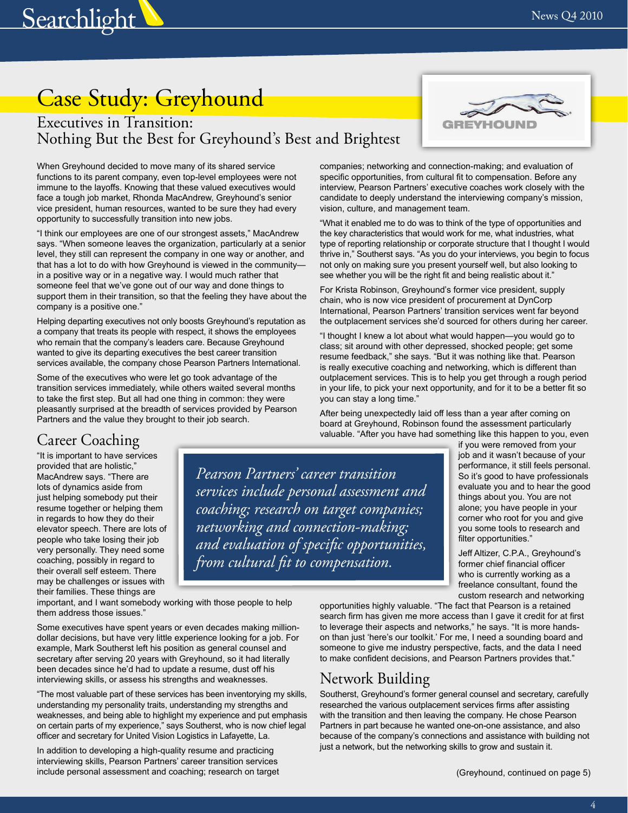# Case Study: Greyhound

**Searchlight** 

### Executives in Transition: Nothing But the Best for Greyhound's Best and Brightest

When Greyhound decided to move many of its shared service functions to its parent company, even top-level employees were not immune to the layoffs. Knowing that these valued executives would face a tough job market, Rhonda MacAndrew, Greyhound's senior vice president, human resources, wanted to be sure they had every opportunity to successfully transition into new jobs.

"I think our employees are one of our strongest assets," MacAndrew says. "When someone leaves the organization, particularly at a senior level, they still can represent the company in one way or another, and that has a lot to do with how Greyhound is viewed in the community in a positive way or in a negative way. I would much rather that someone feel that we've gone out of our way and done things to support them in their transition, so that the feeling they have about the company is a positive one."

Helping departing executives not only boosts Greyhound's reputation as a company that treats its people with respect, it shows the employees who remain that the company's leaders care. Because Greyhound wanted to give its departing executives the best career transition services available, the company chose Pearson Partners International.

Some of the executives who were let go took advantage of the transition services immediately, while others waited several months to take the first step. But all had one thing in common: they were pleasantly surprised at the breadth of services provided by Pearson Partners and the value they brought to their job search.

### Career Coaching

"It is important to have services provided that are holistic," MacAndrew says. "There are lots of dynamics aside from just helping somebody put their resume together or helping them in regards to how they do their elevator speech. There are lots of people who take losing their job very personally. They need some coaching, possibly in regard to their overall self esteem. There may be challenges or issues with their families. These things are

*Pearson Partners' career transition services include personal assessment and coaching; research on target companies; networking and connection-making; and evaluation of specific opportunities, from cultural fit to compensation.* 

important, and I want somebody working with those people to help them address those issues."

Some executives have spent years or even decades making milliondollar decisions, but have very little experience looking for a job. For example, Mark Southerst left his position as general counsel and secretary after serving 20 years with Greyhound, so it had literally been decades since he'd had to update a resume, dust off his interviewing skills, or assess his strengths and weaknesses.

"The most valuable part of these services has been inventorying my skills, understanding my personality traits, understanding my strengths and weaknesses, and being able to highlight my experience and put emphasis on certain parts of my experience," says Southerst, who is now chief legal officer and secretary for United Vision Logistics in Lafayette, La.

In addition to developing a high-quality resume and practicing interviewing skills, Pearson Partners' career transition services include personal assessment and coaching; research on target



companies; networking and connection-making; and evaluation of specific opportunities, from cultural fit to compensation. Before any interview, Pearson Partners' executive coaches work closely with the candidate to deeply understand the interviewing company's mission, vision, culture, and management team.

"What it enabled me to do was to think of the type of opportunities and the key characteristics that would work for me, what industries, what type of reporting relationship or corporate structure that I thought I would thrive in," Southerst says. "As you do your interviews, you begin to focus not only on making sure you present yourself well, but also looking to see whether you will be the right fit and being realistic about it."

For Krista Robinson, Greyhound's former vice president, supply chain, who is now vice president of procurement at DynCorp International, Pearson Partners' transition services went far beyond the outplacement services she'd sourced for others during her career.

"I thought I knew a lot about what would happen—you would go to class; sit around with other depressed, shocked people; get some resume feedback," she says. "But it was nothing like that. Pearson is really executive coaching and networking, which is different than outplacement services. This is to help you get through a rough period in your life, to pick your next opportunity, and for it to be a better fit so you can stay a long time."

After being unexpectedly laid off less than a year after coming on board at Greyhound, Robinson found the assessment particularly valuable. "After you have had something like this happen to you, even

> if you were removed from your job and it wasn't because of your performance, it still feels personal. So it's good to have professionals evaluate you and to hear the good things about you. You are not alone; you have people in your corner who root for you and give you some tools to research and filter opportunities."

Jeff Altizer, C.P.A., Greyhound's former chief financial officer who is currently working as a freelance consultant, found the custom research and networking

opportunities highly valuable. "The fact that Pearson is a retained search firm has given me more access than I gave it credit for at first to leverage their aspects and networks," he says. "It is more handson than just 'here's our toolkit.' For me, I need a sounding board and someone to give me industry perspective, facts, and the data I need to make confident decisions, and Pearson Partners provides that."

### Network Building

Southerst, Greyhound's former general counsel and secretary, carefully researched the various outplacement services firms after assisting with the transition and then leaving the company. He chose Pearson Partners in part because he wanted one-on-one assistance, and also because of the company's connections and assistance with building not just a network, but the networking skills to grow and sustain it.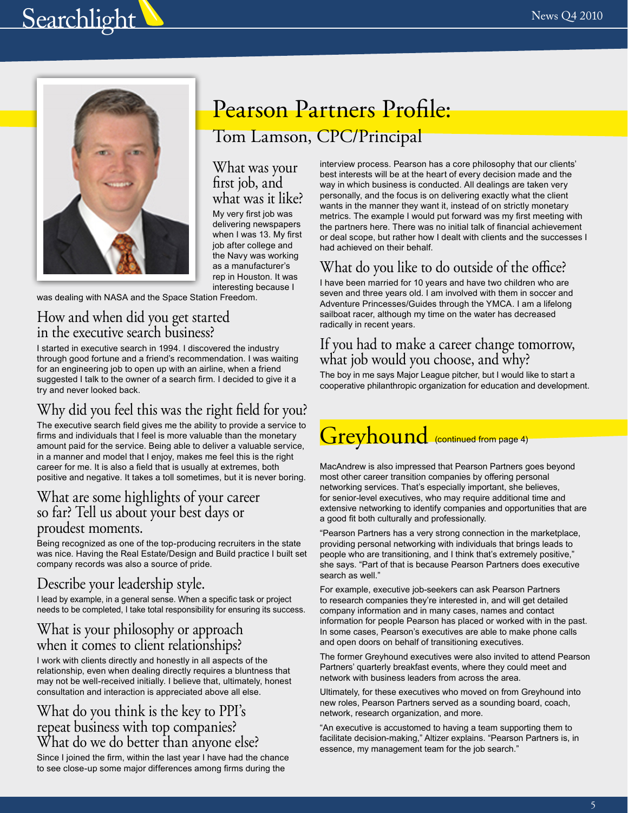# **Searchlight**



### Pearson Partners Profile: Tom Lamson, CPC/Principal

#### What was your first job, and what was it like?

My very first job was delivering newspapers when I was 13. My first job after college and the Navy was working as a manufacturer's rep in Houston. It was interesting because I

was dealing with NASA and the Space Station Freedom.

### How and when did you get started in the executive search business?

I started in executive search in 1994. I discovered the industry through good fortune and a friend's recommendation. I was waiting for an engineering job to open up with an airline, when a friend suggested I talk to the owner of a search firm. I decided to give it a try and never looked back.

### Why did you feel this was the right field for you?

The executive search field gives me the ability to provide a service to firms and individuals that I feel is more valuable than the monetary amount paid for the service. Being able to deliver a valuable service, in a manner and model that I enjoy, makes me feel this is the right career for me. It is also a field that is usually at extremes, both positive and negative. It takes a toll sometimes, but it is never boring.

### What are some highlights of your career so far? Tell us about your best days or proudest moments.

Being recognized as one of the top-producing recruiters in the state was nice. Having the Real Estate/Design and Build practice I built set company records was also a source of pride.

### Describe your leadership style.

I lead by example, in a general sense. When a specific task or project needs to be completed, I take total responsibility for ensuring its success.

### What is your philosophy or approach when it comes to client relationships?

I work with clients directly and honestly in all aspects of the relationship, even when dealing directly requires a bluntness that may not be well-received initially. I believe that, ultimately, honest consultation and interaction is appreciated above all else.

### What do you think is the key to PPI's repeat business with top companies? What do we do better than anyone else?

Since I joined the firm, within the last year I have had the chance to see close-up some major differences among firms during the

interview process. Pearson has a core philosophy that our clients' best interests will be at the heart of every decision made and the way in which business is conducted. All dealings are taken very personally, and the focus is on delivering exactly what the client wants in the manner they want it, instead of on strictly monetary metrics. The example I would put forward was my first meeting with the partners here. There was no initial talk of financial achievement or deal scope, but rather how I dealt with clients and the successes I had achieved on their behalf.

### What do you like to do outside of the office?

I have been married for 10 years and have two children who are seven and three years old. I am involved with them in soccer and Adventure Princesses/Guides through the YMCA. I am a lifelong sailboat racer, although my time on the water has decreased radically in recent years.

### If you had to make a career change tomorrow, what job would you choose, and why?

The boy in me says Major League pitcher, but I would like to start a cooperative philanthropic organization for education and development.

## **Greyhound** (continued from page 4)

MacAndrew is also impressed that Pearson Partners goes beyond most other career transition companies by offering personal networking services. That's especially important, she believes, for senior-level executives, who may require additional time and extensive networking to identify companies and opportunities that are a good fit both culturally and professionally.

"Pearson Partners has a very strong connection in the marketplace, providing personal networking with individuals that brings leads to people who are transitioning, and I think that's extremely positive," she says. "Part of that is because Pearson Partners does executive search as well."

For example, executive job-seekers can ask Pearson Partners to research companies they're interested in, and will get detailed company information and in many cases, names and contact information for people Pearson has placed or worked with in the past. In some cases, Pearson's executives are able to make phone calls and open doors on behalf of transitioning executives.

The former Greyhound executives were also invited to attend Pearson Partners' quarterly breakfast events, where they could meet and network with business leaders from across the area.

Ultimately, for these executives who moved on from Greyhound into new roles, Pearson Partners served as a sounding board, coach, network, research organization, and more.

"An executive is accustomed to having a team supporting them to facilitate decision-making," Altizer explains. "Pearson Partners is, in essence, my management team for the job search."